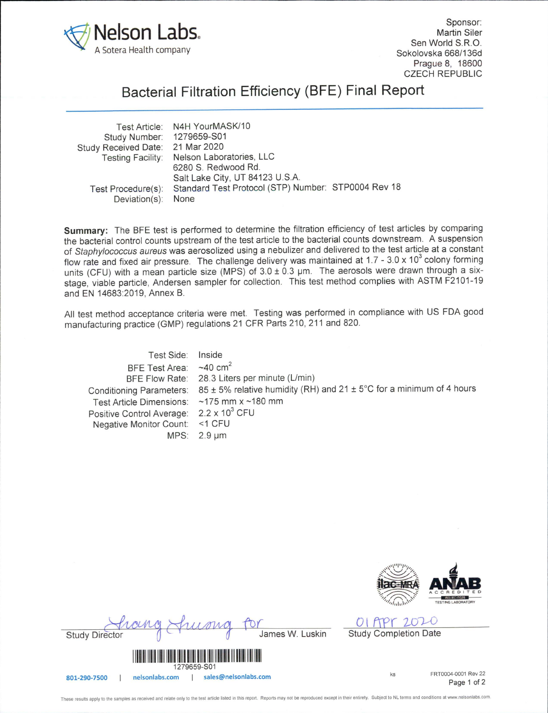

Sponsor: Martin Siler Sen World S.R.O. Sokolovska 668/136d Prague 8, 18600 CZECH REPUBLIC

## Bacterial Filtration Efficiency (BFE) Final Report

| Test Article: N4H YourMASK/10              |                                                     |
|--------------------------------------------|-----------------------------------------------------|
| Study Number: 1279659-S01                  |                                                     |
| Study Received Date: 21 Mar 2020           |                                                     |
| Testing Facility: Nelson Laboratories, LLC |                                                     |
| 6280 S. Redwood Rd.                        |                                                     |
| Salt Lake City, UT 84123 U.S.A.            |                                                     |
| Test Procedure(s):                         |                                                     |
| Deviation(s): None                         |                                                     |
|                                            | Standard Test Protocol (STP) Number: STP0004 Rev 18 |

Summary: The BFE test is performed to determine the filtration efficiency of test articles by comparing the bacterial control counts upstream of the test article to the bacterial counts downstream. A suspension of Staphylococcus aureus was aerosolized using a nebulizer and delivered to the test article at a constant flow rate and fixed air pressure. The challenge delivery was maintained at 1.7 - 3.0 x 10 $^3$  colony forming units (CFU) with a mean particle size (MPS) of  $3.0 \pm 0.3$  µm. The aerosols were drawn through a sixstage, viable particle, Andersen sampler for collection. This test method complies with ASTM F2101-19 and EN 14683:2019, Annex B.

All test method acceptance criteria were met. Testing was performed in compliance with US FDA good manufacturing practice (GMP) regulations 21 CFR Parts 210, 211 and 820.

Test Side Inside BFE Test Area:  $\sim$ 40 cm<sup>2</sup> BFE Flow Rate 28.3 Liters per minute (L/min) Conditioning Parameters:  $85 \pm 5\%$  relative humidity (RH) and 21  $\pm$  5°C for a minimum of 4 hours Test Article Dimensions: ~175 mm x ~180 mm Positive Control Average: 2.2 x 10<sup>3</sup> CFU Negative Monitor Count: <1 CFU MPS: 2.9 µm



01 APT 2020

for Study Director (f Given a Ja James W. Luskin Study Completion Date





These results apply to the samples as received and relate only to the test article listed in this report. Reports may not be reproduced except in their entirety. Subject to NL terms and conditions at www.nelsonlabs.com